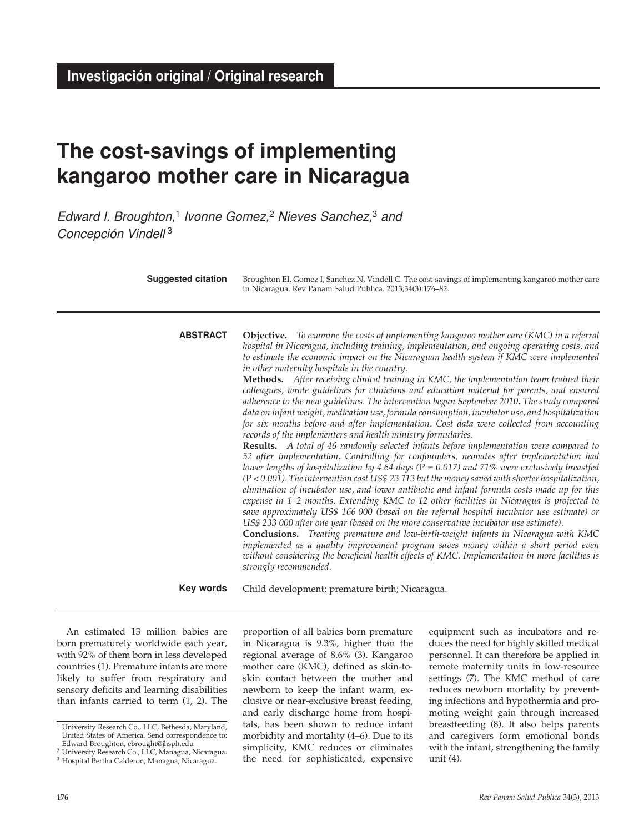# **The cost-savings of implementing kangaroo mother care in Nicaragua**

*Edward I. Broughton,*1 *Ivonne Gomez,*2 *Nieves Sanchez,*3 *and Concepción Vindell* <sup>3</sup>

| <b>Suggested citation</b> | Broughton EI, Gomez I, Sanchez N, Vindell C. The cost-savings of implementing kangaroo mother care<br>in Nicaragua. Rev Panam Salud Publica. 2013;34(3):176-82.                                                                                                                                                                                                                                                                                                                                                                                                                                                                                                                                                                                                                                                                                                                                                                                                                                                                                                                                                                                                                                                                                                                                                                                                                                                                                                                                                                                                                                                                                                                                                                                                                                                                                                                                                                                                                                      |
|---------------------------|------------------------------------------------------------------------------------------------------------------------------------------------------------------------------------------------------------------------------------------------------------------------------------------------------------------------------------------------------------------------------------------------------------------------------------------------------------------------------------------------------------------------------------------------------------------------------------------------------------------------------------------------------------------------------------------------------------------------------------------------------------------------------------------------------------------------------------------------------------------------------------------------------------------------------------------------------------------------------------------------------------------------------------------------------------------------------------------------------------------------------------------------------------------------------------------------------------------------------------------------------------------------------------------------------------------------------------------------------------------------------------------------------------------------------------------------------------------------------------------------------------------------------------------------------------------------------------------------------------------------------------------------------------------------------------------------------------------------------------------------------------------------------------------------------------------------------------------------------------------------------------------------------------------------------------------------------------------------------------------------------|
| <b>ABSTRACT</b>           | <b>Objective.</b> To examine the costs of implementing kangaroo mother care (KMC) in a referral<br>hospital in Nicaragua, including training, implementation, and ongoing operating costs, and<br>to estimate the economic impact on the Nicaraguan health system if KMC were implemented<br>in other maternity hospitals in the country.<br>Methods. After receiving clinical training in KMC, the implementation team trained their<br>colleagues, wrote guidelines for clinicians and education material for parents, and ensured<br>adherence to the new guidelines. The intervention began September 2010. The study compared<br>data on infant weight, medication use, formula consumption, incubator use, and hospitalization<br>for six months before and after implementation. Cost data were collected from accounting<br>records of the implementers and health ministry formularies.<br><b>Results.</b> A total of 46 randomly selected infants before implementation were compared to<br>52 after implementation. Controlling for confounders, neonates after implementation had<br>lower lengths of hospitalization by 4.64 days ( $P = 0.017$ ) and 71% were exclusively breastfed<br>$(P < 0.001)$ . The intervention cost US\$ 23 113 but the money saved with shorter hospitalization,<br>elimination of incubator use, and lower antibiotic and infant formula costs made up for this<br>expense in $1-2$ months. Extending KMC to 12 other facilities in Nicaragua is projected to<br>save approximately US\$ 166 000 (based on the referral hospital incubator use estimate) or<br>US\$ 233 000 after one year (based on the more conservative incubator use estimate).<br>Conclusions. Treating premature and low-birth-weight infants in Nicaragua with KMC<br>implemented as a quality improvement program saves money within a short period even<br>without considering the beneficial health effects of KMC. Implementation in more facilities is<br>strongly recommended. |
| Key words                 | Child development; premature birth; Nicaragua.                                                                                                                                                                                                                                                                                                                                                                                                                                                                                                                                                                                                                                                                                                                                                                                                                                                                                                                                                                                                                                                                                                                                                                                                                                                                                                                                                                                                                                                                                                                                                                                                                                                                                                                                                                                                                                                                                                                                                       |

An estimated 13 million babies are born prematurely worldwide each year, with 92% of them born in less developed countries (1). Premature infants are more likely to suffer from respiratory and sensory deficits and learning disabilities than infants carried to term (1, 2). The

proportion of all babies born premature in Nicaragua is 9.3%, higher than the regional average of 8.6% (3). Kangaroo mother care (KMC), defined as skin-toskin contact between the mother and newborn to keep the infant warm, exclusive or near-exclusive breast feeding, and early discharge home from hospitals, has been shown to reduce infant morbidity and mortality (4–6). Due to its simplicity, KMC reduces or eliminates the need for sophisticated, expensive

equipment such as incubators and reduces the need for highly skilled medical personnel. It can therefore be applied in remote maternity units in low-resource settings (7). The KMC method of care reduces newborn mortality by preventing infections and hypothermia and promoting weight gain through increased breastfeeding (8). It also helps parents and caregivers form emotional bonds with the infant, strengthening the family unit (4).

<sup>&</sup>lt;sup>1</sup> University Research Co., LLC, Bethesda, Maryland, United States of America. Send correspondence to: Edward Broughton, ebrought@jhsph.edu

<sup>&</sup>lt;sup>2</sup> University Research Co., LLC, Managua, Nicaragua.

<sup>3</sup> Hospital Bertha Calderon, Managua, Nicaragua.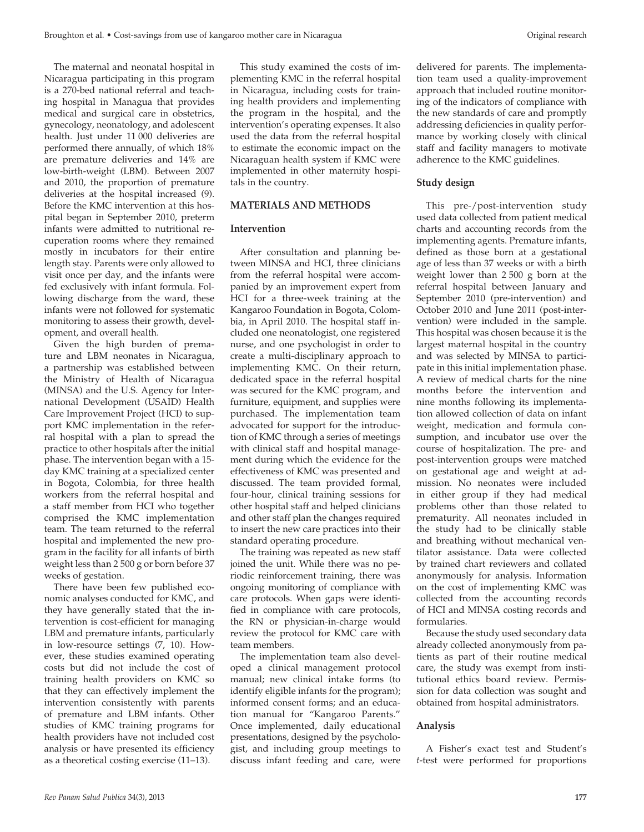The maternal and neonatal hospital in Nicaragua participating in this program is a 270-bed national referral and teaching hospital in Managua that provides medical and surgical care in obstetrics, gynecology, neonatology, and adolescent health. Just under 11 000 deliveries are performed there annually, of which 18% are premature deliveries and 14% are low-birth-weight (LBM). Between 2007 and 2010, the proportion of premature deliveries at the hospital increased (9). Before the KMC intervention at this hospital began in September 2010, preterm infants were admitted to nutritional recuperation rooms where they remained mostly in incubators for their entire length stay. Parents were only allowed to visit once per day, and the infants were fed exclusively with infant formula. Following discharge from the ward, these infants were not followed for systematic monitoring to assess their growth, development, and overall health.

Given the high burden of premature and LBM neonates in Nicaragua, a partnership was established between the Ministry of Health of Nicaragua (MINSA) and the U.S. Agency for International Development (USAID) Health Care Improvement Project (HCI) to support KMC implementation in the referral hospital with a plan to spread the practice to other hospitals after the initial phase. The intervention began with a 15 day KMC training at a specialized center in Bogota, Colombia, for three health workers from the referral hospital and a staff member from HCI who together comprised the KMC implementation team. The team returned to the referral hospital and implemented the new program in the facility for all infants of birth weight less than 2 500 g or born before 37 weeks of gestation.

There have been few published economic analyses conducted for KMC, and they have generally stated that the intervention is cost-efficient for managing LBM and premature infants, particularly in low-resource settings (7, 10). However, these studies examined operating costs but did not include the cost of training health providers on KMC so that they can effectively implement the intervention consistently with parents of premature and LBM infants. Other studies of KMC training programs for health providers have not included cost analysis or have presented its efficiency as a theoretical costing exercise (11–13).

This study examined the costs of implementing KMC in the referral hospital in Nicaragua, including costs for training health providers and implementing the program in the hospital, and the intervention's operating expenses. It also used the data from the referral hospital to estimate the economic impact on the Nicaraguan health system if KMC were implemented in other maternity hospitals in the country.

## **MATERIALS AND Methods**

## **Intervention**

After consultation and planning between MINSA and HCI, three clinicians from the referral hospital were accompanied by an improvement expert from HCI for a three-week training at the Kangaroo Foundation in Bogota, Colombia, in April 2010. The hospital staff included one neonatologist, one registered nurse, and one psychologist in order to create a multi-disciplinary approach to implementing KMC. On their return, dedicated space in the referral hospital was secured for the KMC program, and furniture, equipment, and supplies were purchased. The implementation team advocated for support for the introduction of KMC through a series of meetings with clinical staff and hospital management during which the evidence for the effectiveness of KMC was presented and discussed. The team provided formal, four-hour, clinical training sessions for other hospital staff and helped clinicians and other staff plan the changes required to insert the new care practices into their standard operating procedure.

The training was repeated as new staff joined the unit. While there was no periodic reinforcement training, there was ongoing monitoring of compliance with care protocols. When gaps were identified in compliance with care protocols, the RN or physician-in-charge would review the protocol for KMC care with team members.

The implementation team also developed a clinical management protocol manual; new clinical intake forms (to identify eligible infants for the program); informed consent forms; and an education manual for "Kangaroo Parents." Once implemented, daily educational presentations, designed by the psychologist, and including group meetings to discuss infant feeding and care, were

delivered for parents. The implementation team used a quality-improvement approach that included routine monitoring of the indicators of compliance with the new standards of care and promptly addressing deficiencies in quality performance by working closely with clinical staff and facility managers to motivate adherence to the KMC guidelines.

# **Study design**

This pre-/post-intervention study used data collected from patient medical charts and accounting records from the implementing agents. Premature infants, defined as those born at a gestational age of less than 37 weeks or with a birth weight lower than 2 500 g born at the referral hospital between January and September 2010 (pre-intervention) and October 2010 and June 2011 (post-intervention) were included in the sample. This hospital was chosen because it is the largest maternal hospital in the country and was selected by MINSA to participate in this initial implementation phase. A review of medical charts for the nine months before the intervention and nine months following its implementation allowed collection of data on infant weight, medication and formula consumption, and incubator use over the course of hospitalization. The pre- and post-intervention groups were matched on gestational age and weight at admission. No neonates were included in either group if they had medical problems other than those related to prematurity. All neonates included in the study had to be clinically stable and breathing without mechanical ventilator assistance. Data were collected by trained chart reviewers and collated anonymously for analysis. Information on the cost of implementing KMC was collected from the accounting records of HCI and MINSA costing records and formularies.

Because the study used secondary data already collected anonymously from patients as part of their routine medical care, the study was exempt from institutional ethics board review. Permission for data collection was sought and obtained from hospital administrators.

# **Analysis**

A Fisher's exact test and Student's *t*-test were performed for proportions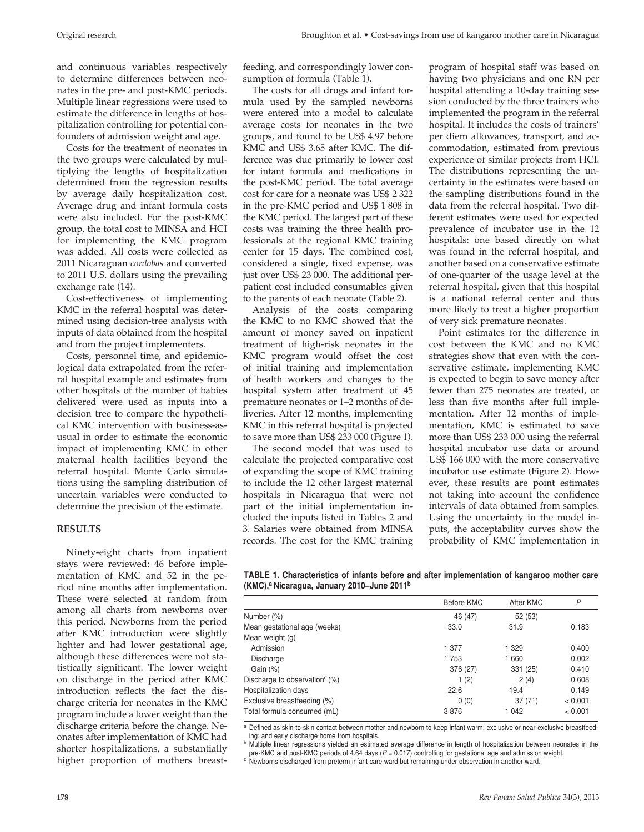and continuous variables respectively to determine differences between neonates in the pre- and post-KMC periods. Multiple linear regressions were used to estimate the difference in lengths of hospitalization controlling for potential confounders of admission weight and age.

Costs for the treatment of neonates in the two groups were calculated by multiplying the lengths of hospitalization determined from the regression results by average daily hospitalization cost. Average drug and infant formula costs were also included. For the post-KMC group, the total cost to MINSA and HCI for implementing the KMC program was added. All costs were collected as 2011 Nicaraguan *cordobas* and converted to 2011 U.S. dollars using the prevailing exchange rate (14).

Cost-effectiveness of implementing KMC in the referral hospital was determined using decision-tree analysis with inputs of data obtained from the hospital and from the project implementers.

Costs, personnel time, and epidemiological data extrapolated from the referral hospital example and estimates from other hospitals of the number of babies delivered were used as inputs into a decision tree to compare the hypothetical KMC intervention with business-asusual in order to estimate the economic impact of implementing KMC in other maternal health facilities beyond the referral hospital. Monte Carlo simulations using the sampling distribution of uncertain variables were conducted to determine the precision of the estimate.

#### **Results**

Ninety-eight charts from inpatient stays were reviewed: 46 before implementation of KMC and 52 in the period nine months after implementation. These were selected at random from among all charts from newborns over this period. Newborns from the period after KMC introduction were slightly lighter and had lower gestational age, although these differences were not statistically significant. The lower weight on discharge in the period after KMC introduction reflects the fact the discharge criteria for neonates in the KMC program include a lower weight than the discharge criteria before the change. Neonates after implementation of KMC had shorter hospitalizations, a substantially higher proportion of mothers breastfeeding, and correspondingly lower consumption of formula (Table 1).

The costs for all drugs and infant formula used by the sampled newborns were entered into a model to calculate average costs for neonates in the two groups, and found to be US\$ 4.97 before KMC and US\$ 3.65 after KMC. The difference was due primarily to lower cost for infant formula and medications in the post-KMC period. The total average cost for care for a neonate was US\$ 2 322 in the pre-KMC period and US\$ 1 808 in the KMC period. The largest part of these costs was training the three health professionals at the regional KMC training center for 15 days. The combined cost, considered a single, fixed expense, was just over US\$ 23 000. The additional perpatient cost included consumables given to the parents of each neonate (Table 2).

Analysis of the costs comparing the KMC to no KMC showed that the amount of money saved on inpatient treatment of high-risk neonates in the KMC program would offset the cost of initial training and implementation of health workers and changes to the hospital system after treatment of 45 premature neonates or 1–2 months of deliveries. After 12 months, implementing KMC in this referral hospital is projected to save more than US\$ 233 000 (Figure 1).

The second model that was used to calculate the projected comparative cost of expanding the scope of KMC training to include the 12 other largest maternal hospitals in Nicaragua that were not part of the initial implementation included the inputs listed in Tables 2 and 3. Salaries were obtained from MINSA records. The cost for the KMC training

program of hospital staff was based on having two physicians and one RN per hospital attending a 10-day training session conducted by the three trainers who implemented the program in the referral hospital. It includes the costs of trainers' per diem allowances, transport, and accommodation, estimated from previous experience of similar projects from HCI. The distributions representing the uncertainty in the estimates were based on the sampling distributions found in the data from the referral hospital. Two different estimates were used for expected prevalence of incubator use in the 12 hospitals: one based directly on what was found in the referral hospital, and another based on a conservative estimate of one-quarter of the usage level at the referral hospital, given that this hospital is a national referral center and thus more likely to treat a higher proportion of very sick premature neonates.

Point estimates for the difference in cost between the KMC and no KMC strategies show that even with the conservative estimate, implementing KMC is expected to begin to save money after fewer than 275 neonates are treated, or less than five months after full implementation. After 12 months of implementation, KMC is estimated to save more than US\$ 233 000 using the referral hospital incubator use data or around US\$ 166 000 with the more conservative incubator use estimate (Figure 2). However, these results are point estimates not taking into account the confidence intervals of data obtained from samples. Using the uncertainty in the model inputs, the acceptability curves show the probability of KMC implementation in

**TABLE 1. Characteristics of infants before and after implementation of kangaroo mother care (KMC),a Nicaragua, January 2010–June 2011b**

|                                           | Before KMC | After KMC | P       |
|-------------------------------------------|------------|-----------|---------|
| Number (%)                                | 46 (47)    | 52(53)    |         |
| Mean gestational age (weeks)              | 33.0       | 31.9      | 0.183   |
| Mean weight (g)                           |            |           |         |
| Admission                                 | 1 377      | 1 3 2 9   | 0.400   |
| Discharge                                 | 1753       | 1660      | 0.002   |
| Gain (%)                                  | 376 (27)   | 331 (25)  | 0.410   |
| Discharge to observation <sup>c</sup> (%) | 1(2)       | 2(4)      | 0.608   |
| Hospitalization days                      | 22.6       | 19.4      | 0.149   |
| Exclusive breastfeeding (%)               | 0(0)       | 37(71)    | < 0.001 |
| Total formula consumed (mL)               | 3876       | 1042      | < 0.001 |

a Defined as skin-to-skin contact between mother and newborn to keep infant warm; exclusive or near-exclusive breastfeeding; and early discharge home from hospitals.

b Multiple linear regressions yielded an estimated average difference in length of hospitalization between neonates in the pre-KMC and post-KMC periods of 4.64 days (*P* = 0.017) controlling for gestational age and admission weight.

<sup>c</sup> Newborns discharged from preterm infant care ward but remaining under observation in another ward.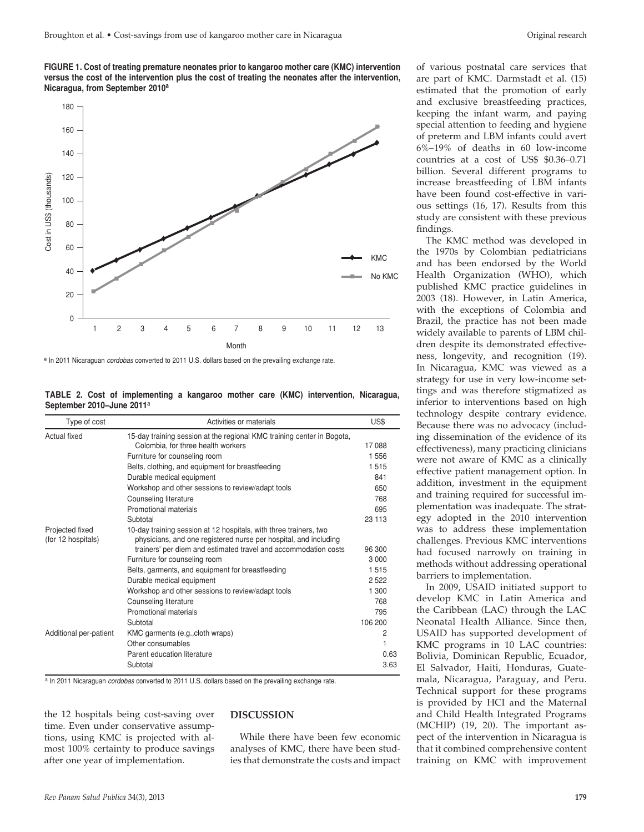**FIGURE 1. Cost of treating premature neonates prior to kangaroo mother care (KMC) intervention versus the cost of the intervention plus the cost of treating the neonates after the intervention, Nicaragua, from September 2010a**



**<sup>a</sup>** In 2011 Nicaraguan *cordobas* converted to 2011 U.S. dollars based on the prevailing exchange rate.

|                                       |  | TABLE 2. Cost of implementing a kangaroo mother care (KMC) intervention, Nicaragua, |  |  |  |  |
|---------------------------------------|--|-------------------------------------------------------------------------------------|--|--|--|--|
| September 2010-June 2011 <sup>a</sup> |  |                                                                                     |  |  |  |  |

| Type of cost                          | Activities or materials                                                                                                               | US\$    |
|---------------------------------------|---------------------------------------------------------------------------------------------------------------------------------------|---------|
| Actual fixed                          | 15-day training session at the regional KMC training center in Bogota,                                                                |         |
|                                       | Colombia, for three health workers                                                                                                    | 17088   |
|                                       | Furniture for counseling room                                                                                                         | 1556    |
|                                       | Belts, clothing, and equipment for breastfeeding                                                                                      | 1515    |
|                                       | Durable medical equipment                                                                                                             | 841     |
|                                       | Workshop and other sessions to review/adapt tools                                                                                     | 650     |
|                                       | Counseling literature                                                                                                                 | 768     |
|                                       | Promotional materials                                                                                                                 | 695     |
|                                       | Subtotal                                                                                                                              | 23 113  |
| Projected fixed<br>(for 12 hospitals) | 10-day training session at 12 hospitals, with three trainers, two<br>physicians, and one registered nurse per hospital, and including |         |
|                                       | trainers' per diem and estimated travel and accommodation costs                                                                       | 96 300  |
|                                       | Furniture for counseling room                                                                                                         | 3 0 0 0 |
|                                       | Belts, garments, and equipment for breastfeeding                                                                                      | 1515    |
|                                       | Durable medical equipment                                                                                                             | 2522    |
|                                       | Workshop and other sessions to review/adapt tools                                                                                     | 1 300   |
|                                       | Counseling literature                                                                                                                 | 768     |
|                                       | Promotional materials                                                                                                                 | 795     |
|                                       | Subtotal                                                                                                                              | 106 200 |
| Additional per-patient                | KMC garments (e.g., cloth wraps)                                                                                                      | 2       |
|                                       | Other consumables                                                                                                                     | 1       |
|                                       | Parent education literature                                                                                                           | 0.63    |
|                                       | Subtotal                                                                                                                              | 3.63    |

a In 2011 Nicaraguan *cordobas* converted to 2011 U.S. dollars based on the prevailing exchange rate.

the 12 hospitals being cost-saving over time. Even under conservative assumptions, using KMC is projected with almost 100% certainty to produce savings after one year of implementation.

## **Discussion**

While there have been few economic analyses of KMC, there have been studies that demonstrate the costs and impact

of various postnatal care services that are part of KMC. Darmstadt et al. (15) estimated that the promotion of early and exclusive breastfeeding practices, keeping the infant warm, and paying special attention to feeding and hygiene of preterm and LBM infants could avert 6%–19% of deaths in 60 low-income countries at a cost of US\$ \$0.36–0.71 billion. Several different programs to increase breastfeeding of LBM infants have been found cost-effective in various settings (16, 17). Results from this study are consistent with these previous findings.

The KMC method was developed in the 1970s by Colombian pediatricians and has been endorsed by the World Health Organization (WHO), which published KMC practice guidelines in 2003 (18). However, in Latin America, with the exceptions of Colombia and Brazil, the practice has not been made widely available to parents of LBM children despite its demonstrated effectiveness, longevity, and recognition (19). In Nicaragua, KMC was viewed as a strategy for use in very low-income settings and was therefore stigmatized as inferior to interventions based on high technology despite contrary evidence. Because there was no advocacy (including dissemination of the evidence of its effectiveness), many practicing clinicians were not aware of KMC as a clinically effective patient management option. In addition, investment in the equipment and training required for successful implementation was inadequate. The strategy adopted in the 2010 intervention was to address these implementation challenges. Previous KMC interventions had focused narrowly on training in methods without addressing operational barriers to implementation.

In 2009, USAID initiated support to develop KMC in Latin America and the Caribbean (LAC) through the LAC Neonatal Health Alliance. Since then, USAID has supported development of KMC programs in 10 LAC countries: Bolivia, Dominican Republic, Ecuador, El Salvador, Haiti, Honduras, Guatemala, Nicaragua, Paraguay, and Peru. Technical support for these programs is provided by HCI and the Maternal and Child Health Integrated Programs (MCHIP) (19, 20). The important aspect of the intervention in Nicaragua is that it combined comprehensive content training on KMC with improvement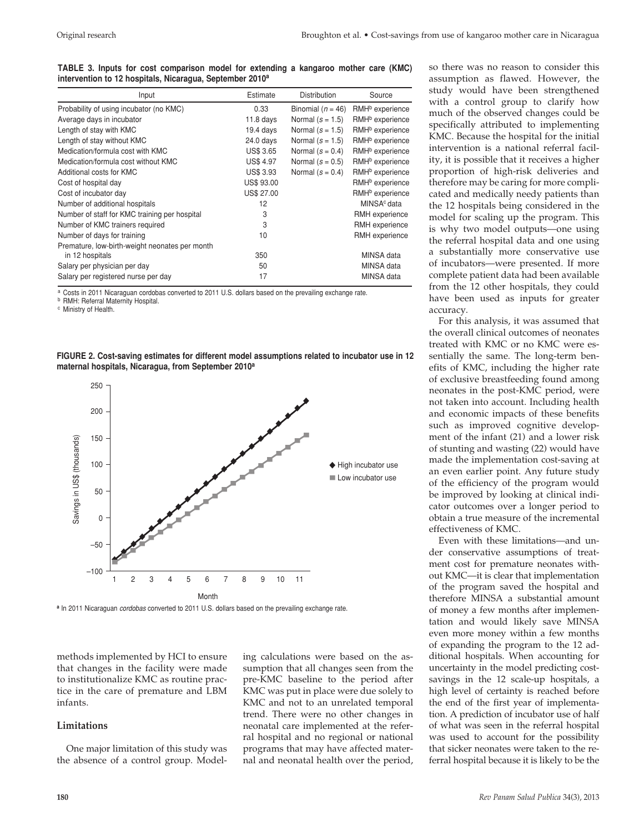**TABLE 3. Inputs for cost comparison model for extending a kangaroo mother care (KMC) intervention to 12 hospitals, Nicaragua, September 2010a**

| Input                                          | Estimate          | <b>Distribution</b>   | Source                      |
|------------------------------------------------|-------------------|-----------------------|-----------------------------|
| Probability of using incubator (no KMC)        | 0.33              | Binomial ( $n = 46$ ) | RMH <sup>b</sup> experience |
| Average days in incubator                      | $11.8$ days       | Normal $(s = 1.5)$    | RMH <sup>b</sup> experience |
| Length of stay with KMC                        | $19.4$ days       | Normal $(s = 1.5)$    | RMH <sup>b</sup> experience |
| Length of stay without KMC                     | 24.0 days         | Normal $(s = 1.5)$    | RMH <sup>b</sup> experience |
| Medication/formula cost with KMC               | <b>US\$ 3.65</b>  | Normal $(s = 0.4)$    | RMH <sup>b</sup> experience |
| Medication/formula cost without KMC            | <b>US\$ 4.97</b>  | Normal $(s = 0.5)$    | RMH <sup>b</sup> experience |
| Additional costs for KMC                       | <b>US\$ 3.93</b>  | Normal $(s = 0.4)$    | RMH <sup>b</sup> experience |
| Cost of hospital day                           | <b>US\$ 93.00</b> |                       | RMH <sup>b</sup> experience |
| Cost of incubator day                          | <b>US\$ 27.00</b> |                       | RMH <sup>b</sup> experience |
| Number of additional hospitals                 | 12                |                       | MINSA <sup>c</sup> data     |
| Number of staff for KMC training per hospital  | 3                 |                       | RMH experience              |
| Number of KMC trainers required                | 3                 |                       | RMH experience              |
| Number of days for training                    | 10                |                       | RMH experience              |
| Premature, low-birth-weight neonates per month |                   |                       |                             |
| in 12 hospitals                                | 350               |                       | MINSA data                  |
| Salary per physician per day                   | 50                |                       | MINSA data                  |
| Salary per registered nurse per day            | 17                |                       | MINSA data                  |

a Costs in 2011 Nicaraguan cordobas converted to 2011 U.S. dollars based on the prevailing exchange rate.

**b** RMH: Referral Maternity Hospital.

<sup>c</sup> Ministry of Health.

**FIGURE 2. Cost-saving estimates for different model assumptions related to incubator use in 12 maternal hospitals, Nicaragua, from September 2010a**



**<sup>a</sup>** In 2011 Nicaraguan *cordobas* converted to 2011 U.S. dollars based on the prevailing exchange rate.

methods implemented by HCI to ensure that changes in the facility were made to institutionalize KMC as routine practice in the care of premature and LBM infants.

#### **Limitations**

One major limitation of this study was the absence of a control group. Modeling calculations were based on the assumption that all changes seen from the pre-KMC baseline to the period after KMC was put in place were due solely to KMC and not to an unrelated temporal trend. There were no other changes in neonatal care implemented at the referral hospital and no regional or national programs that may have affected maternal and neonatal health over the period,

so there was no reason to consider this assumption as flawed. However, the study would have been strengthened with a control group to clarify how much of the observed changes could be specifically attributed to implementing KMC. Because the hospital for the initial intervention is a national referral facility, it is possible that it receives a higher proportion of high-risk deliveries and therefore may be caring for more complicated and medically needy patients than the 12 hospitals being considered in the model for scaling up the program. This is why two model outputs—one using the referral hospital data and one using a substantially more conservative use of incubators—were presented. If more complete patient data had been available from the 12 other hospitals, they could have been used as inputs for greater accuracy.

For this analysis, it was assumed that the overall clinical outcomes of neonates treated with KMC or no KMC were essentially the same. The long-term benefits of KMC, including the higher rate of exclusive breastfeeding found among neonates in the post-KMC period, were not taken into account. Including health and economic impacts of these benefits such as improved cognitive development of the infant (21) and a lower risk of stunting and wasting (22) would have made the implementation cost-saving at an even earlier point. Any future study of the efficiency of the program would be improved by looking at clinical indicator outcomes over a longer period to obtain a true measure of the incremental effectiveness of KMC.

Even with these limitations—and under conservative assumptions of treatment cost for premature neonates without KMC—it is clear that implementation of the program saved the hospital and therefore MINSA a substantial amount of money a few months after implementation and would likely save MINSA even more money within a few months of expanding the program to the 12 additional hospitals. When accounting for uncertainty in the model predicting costsavings in the 12 scale-up hospitals, a high level of certainty is reached before the end of the first year of implementation. A prediction of incubator use of half of what was seen in the referral hospital was used to account for the possibility that sicker neonates were taken to the referral hospital because it is likely to be the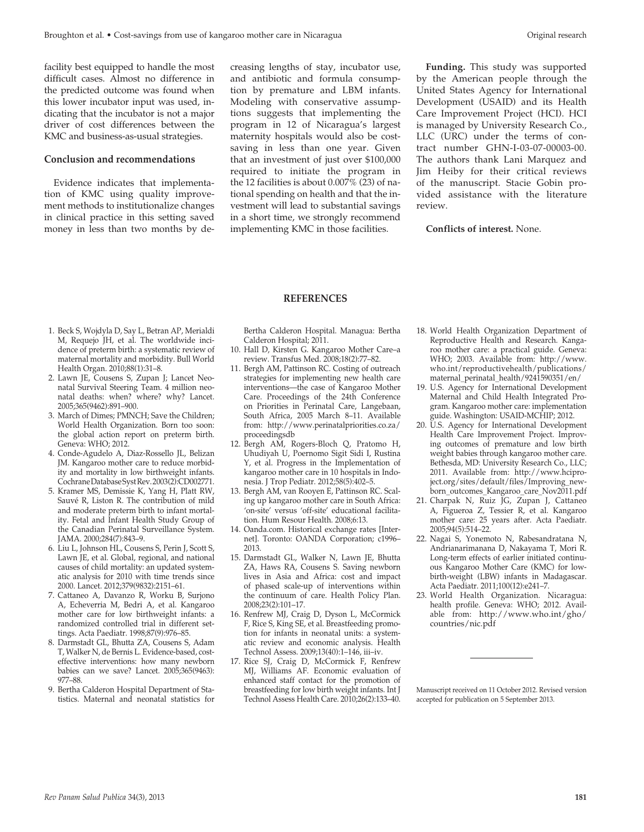the predicted outcome was found when this lower incubator input was used, indicating that the incubator is not a major driver of cost differences between the KMC and business-as-usual strategies.

### **Conclusion and recommendations**

Evidence indicates that implementation of KMC using quality improvement methods to institutionalize changes in clinical practice in this setting saved money in less than two months by decreasing lengths of stay, incubator use, and antibiotic and formula consumption by premature and LBM infants. Modeling with conservative assumptions suggests that implementing the program in 12 of Nicaragua's largest maternity hospitals would also be costsaving in less than one year. Given that an investment of just over \$100,000 required to initiate the program in the 12 facilities is about 0.007% (23) of national spending on health and that the investment will lead to substantial savings in a short time, we strongly recommend implementing KMC in those facilities.

**Funding.** This study was supported by the American people through the United States Agency for International Development (USAID) and its Health Care Improvement Project (HCI). HCI is managed by University Research Co., LLC (URC) under the terms of contract number GHN-I-03-07-00003-00. The authors thank Lani Marquez and Jim Heiby for their critical reviews of the manuscript. Stacie Gobin provided assistance with the literature review.

**Conflicts of interest.** None.

### **REFERENCES**

- 1. Beck S, Wojdyla D, Say L, Betran AP, Merialdi M, Requejo JH, et al. The worldwide incidence of preterm birth: a systematic review of maternal mortality and morbidity. Bull World Health Organ. 2010;88(1):31–8.
- 2. Lawn JE, Cousens S, Zupan J; Lancet Neonatal Survival Steering Team. 4 million neonatal deaths: when? where? why? Lancet. 2005;365(9462):891–900.
- 3. March of Dimes; PMNCH; Save the Children; World Health Organization. Born too soon: the global action report on preterm birth. Geneva: WHO; 2012.
- 4. Conde-Agudelo A, Diaz-Rossello JL, Belizan JM. Kangaroo mother care to reduce morbidity and mortality in low birthweight infants. Cochrane Database Syst Rev. 2003(2):CD002771.
- 5. Kramer MS, Demissie K, Yang H, Platt RW, Sauvé R, Liston R. The contribution of mild and moderate preterm birth to infant mortality. Fetal and Infant Health Study Group of the Canadian Perinatal Surveillance System. JAMA. 2000;284(7):843–9.
- 6. Liu L, Johnson HL, Cousens S, Perin J, Scott S, Lawn JE, et al. Global, regional, and national causes of child mortality: an updated systematic analysis for 2010 with time trends since 2000. Lancet. 2012;379(9832):2151–61.
- 7. Cattaneo A, Davanzo R, Worku B, Surjono A, Echeverria M, Bedri A, et al. Kangaroo mother care for low birthweight infants: a randomized controlled trial in different settings. Acta Paediatr. 1998;87(9):976–85.
- 8. Darmstadt GL, Bhutta ZA, Cousens S, Adam T, Walker N, de Bernis L. Evidence-based, costeffective interventions: how many newborn babies can we save? Lancet. 2005;365(9463): 977–88.
- 9. Bertha Calderon Hospital Department of Statistics. Maternal and neonatal statistics for

Bertha Calderon Hospital. Managua: Bertha Calderon Hospital; 2011.

- 10. Hall D, Kirsten G. Kangaroo Mother Care–a review. Transfus Med. 2008;18(2):77–82.
- 11. Bergh AM, Pattinson RC. Costing of outreach strategies for implementing new health care interventions—the case of Kangaroo Mother Care. Proceedings of the 24th Conference on Priorities in Perinatal Care, Langebaan, South Africa, 2005 March 8–11. Available from: http://www.perinatalpriorities.co.za/ proceedingsdb
- 12. Bergh AM, Rogers-Bloch Q, Pratomo H, Uhudiyah U, Poernomo Sigit Sidi I, Rustina Y, et al. Progress in the Implementation of kangaroo mother care in 10 hospitals in Indonesia. J Trop Pediatr. 2012;58(5):402–5.
- 13. Bergh AM, van Rooyen E, Pattinson RC. Scaling up kangaroo mother care in South Africa: 'on-site' versus 'off-site' educational facilitation. Hum Resour Health. 2008;6:13.
- 14. Oanda.com. Historical exchange rates [Internet]. Toronto: OANDA Corporation; c1996– 2013.
- 15. Darmstadt GL, Walker N, Lawn JE, Bhutta ZA, Haws RA, Cousens S. Saving newborn lives in Asia and Africa: cost and impact of phased scale-up of interventions within the continuum of care. Health Policy Plan. 2008;23(2):101–17.
- 16. Renfrew MJ, Craig D, Dyson L, McCormick F, Rice S, King SE, et al. Breastfeeding promotion for infants in neonatal units: a systematic review and economic analysis. Health Technol Assess. 2009;13(40):1–146, iii–iv.
- 17. Rice SJ, Craig D, McCormick F, Renfrew MJ, Williams AF. Economic evaluation of enhanced staff contact for the promotion of breastfeeding for low birth weight infants. Int J Technol Assess Health Care. 2010;26(2):133–40.
- 18. World Health Organization Department of Reproductive Health and Research. Kangaroo mother care: a practical guide. Geneva: WHO; 2003. Available from: http://www. who.int/reproductivehealth/publications/ maternal\_perinatal\_health/9241590351/en/
- 19. U.S. Agency for International Development Maternal and Child Health Integrated Program. Kangaroo mother care: implementation guide. Washington: USAID-MCHIP; 2012.
- 20. U.S. Agency for International Development Health Care Improvement Project. Improving outcomes of premature and low birth weight babies through kangaroo mother care. Bethesda, MD: University Research Co., LLC; 2011. Available from: http://www.hciproject.org/sites/default/files/Improving\_newborn\_outcomes\_Kangaroo\_care\_Nov2011.pdf
- 21. Charpak N, Ruiz JG, Zupan J, Cattaneo A, Figueroa Z, Tessier R, et al. Kangaroo mother care: 25 years after. Acta Paediatr. 2005;94(5):514–22.
- 22. Nagai S, Yonemoto N, Rabesandratana N, Andrianarimanana D, Nakayama T, Mori R. Long-term effects of earlier initiated continuous Kangaroo Mother Care (KMC) for lowbirth-weight (LBW) infants in Madagascar. Acta Paediatr. 2011;100(12):e241–7.
- 23. World Health Organization. Nicaragua: health profile. Geneva: WHO; 2012. Available from: [http://www.who.int/gho/](http://www.who.int/gho/countries/nic.pdf) [countries/nic.pdf](http://www.who.int/gho/countries/nic.pdf)

Manuscript received on 11 October 2012. Revised version accepted for publication on 5 September 2013.